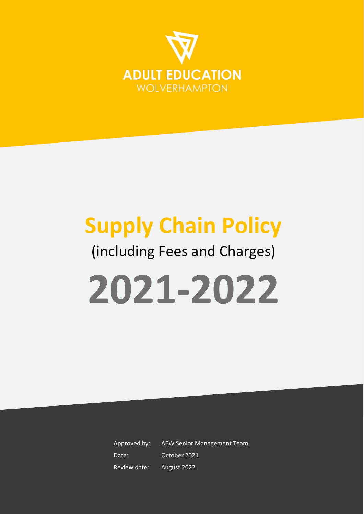

# **Supply Chain Policy** (including Fees and Charges) **2021-2022**

Approved by: AEW Senior Management Team Date: October 2021 Review date: August 2022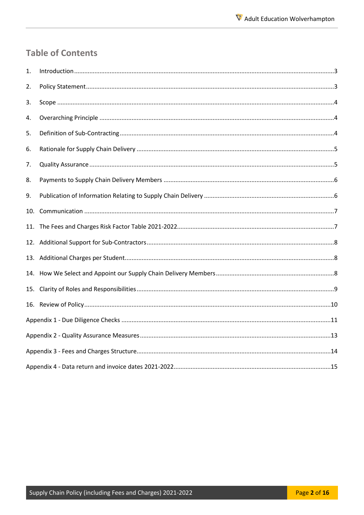# **Table of Contents**

| 1.  |  |
|-----|--|
| 2.  |  |
| 3.  |  |
| 4.  |  |
| 5.  |  |
| 6.  |  |
| 7.  |  |
| 8.  |  |
| 9.  |  |
| 10. |  |
|     |  |
|     |  |
|     |  |
|     |  |
|     |  |
|     |  |
|     |  |
|     |  |
|     |  |
|     |  |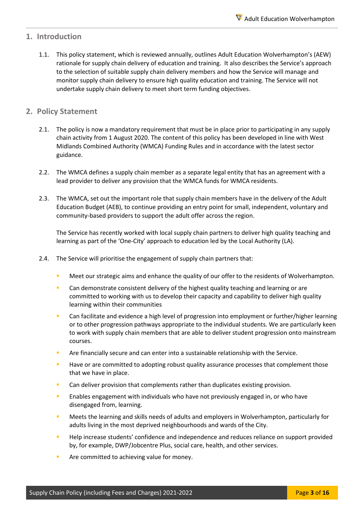#### <span id="page-2-0"></span>**1. Introduction**

1.1. This policy statement, which is reviewed annually, outlines Adult Education Wolverhampton's (AEW) rationale for supply chain delivery of education and training. It also describes the Service's approach to the selection of suitable supply chain delivery members and how the Service will manage and monitor supply chain delivery to ensure high quality education and training. The Service will not undertake supply chain delivery to meet short term funding objectives.

#### <span id="page-2-1"></span>**2. Policy Statement**

- 2.1. The policy is now a mandatory requirement that must be in place prior to participating in any supply chain activity from 1 August 2020. The content of this policy has been developed in line with West Midlands Combined Authority (WMCA) Funding Rules and in accordance with the latest sector guidance.
- 2.2. The WMCA defines a supply chain member as a separate legal entity that has an agreement with a lead provider to deliver any provision that the WMCA funds for WMCA residents.
- 2.3. The WMCA, set out the important role that supply chain members have in the delivery of the Adult Education Budget (AEB), to continue providing an entry point for small, independent, voluntary and community-based providers to support the adult offer across the region.

The Service has recently worked with local supply chain partners to deliver high quality teaching and learning as part of the 'One-City' approach to education led by the Local Authority (LA).

- 2.4. The Service will prioritise the engagement of supply chain partners that:
	- Meet our strategic aims and enhance the quality of our offer to the residents of Wolverhampton.
	- **Can demonstrate consistent delivery of the highest quality teaching and learning or are** committed to working with us to develop their capacity and capability to deliver high quality learning within their communities
	- **Can facilitate and evidence a high level of progression into employment or further/higher learning** or to other progression pathways appropriate to the individual students. We are particularly keen to work with supply chain members that are able to deliver student progression onto mainstream courses.
	- Are financially secure and can enter into a sustainable relationship with the Service.
	- **Have or are committed to adopting robust quality assurance processes that complement those** that we have in place.
	- Can deliver provision that complements rather than duplicates existing provision.
	- Enables engagement with individuals who have not previously engaged in, or who have disengaged from, learning.
	- Meets the learning and skills needs of adults and employers in Wolverhampton, particularly for adults living in the most deprived neighbourhoods and wards of the City.
	- Help increase students' confidence and independence and reduces reliance on support provided by, for example, DWP/Jobcentre Plus, social care, health, and other services.
	- Are committed to achieving value for money.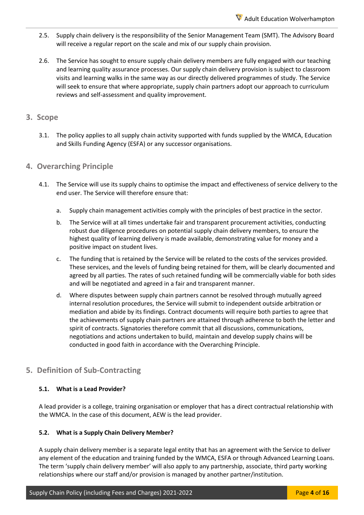- 2.5. Supply chain delivery is the responsibility of the Senior Management Team (SMT). The Advisory Board will receive a regular report on the scale and mix of our supply chain provision.
- 2.6. The Service has sought to ensure supply chain delivery members are fully engaged with our teaching and learning quality assurance processes. Our supply chain delivery provision is subject to classroom visits and learning walks in the same way as our directly delivered programmes of study. The Service will seek to ensure that where appropriate, supply chain partners adopt our approach to curriculum reviews and self-assessment and quality improvement.

#### <span id="page-3-0"></span>**3. Scope**

3.1. The policy applies to all supply chain activity supported with funds supplied by the WMCA, Education and Skills Funding Agency (ESFA) or any successor organisations.

#### <span id="page-3-1"></span>**4. Overarching Principle**

- 4.1. The Service will use its supply chains to optimise the impact and effectiveness of service delivery to the end user. The Service will therefore ensure that:
	- a. Supply chain management activities comply with the principles of best practice in the sector.
	- b. The Service will at all times undertake fair and transparent procurement activities, conducting robust due diligence procedures on potential supply chain delivery members, to ensure the highest quality of learning delivery is made available, demonstrating value for money and a positive impact on student lives.
	- c. The funding that is retained by the Service will be related to the costs of the services provided. These services, and the levels of funding being retained for them, will be clearly documented and agreed by all parties. The rates of such retained funding will be commercially viable for both sides and will be negotiated and agreed in a fair and transparent manner.
	- d. Where disputes between supply chain partners cannot be resolved through mutually agreed internal resolution procedures, the Service will submit to independent outside arbitration or mediation and abide by its findings. Contract documents will require both parties to agree that the achievements of supply chain partners are attained through adherence to both the letter and spirit of contracts. Signatories therefore commit that all discussions, communications, negotiations and actions undertaken to build, maintain and develop supply chains will be conducted in good faith in accordance with the Overarching Principle.

#### <span id="page-3-2"></span>**5. Definition of Sub-Contracting**

#### **5.1. What is a Lead Provider?**

A lead provider is a college, training organisation or employer that has a direct contractual relationship with the WMCA. In the case of this document, AEW is the lead provider.

#### **5.2. What is a Supply Chain Delivery Member?**

A supply chain delivery member is a separate legal entity that has an agreement with the Service to deliver any element of the education and training funded by the WMCA, ESFA or through Advanced Learning Loans. The term 'supply chain delivery member' will also apply to any partnership, associate, third party working relationships where our staff and/or provision is managed by another partner/institution.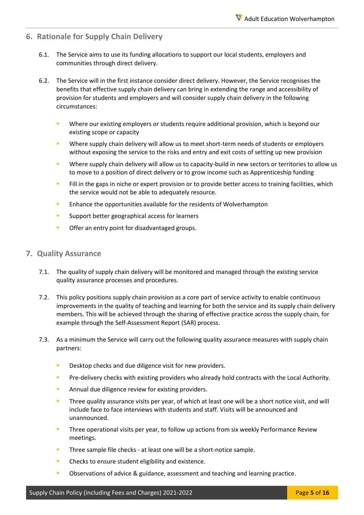#### <span id="page-4-0"></span>**6. Rationale for Supply Chain Delivery**

- 6.1. The Service aims to use its funding allocations to support our local students, employers and communities through direct delivery.
- 6.2. The Service will in the first instance consider direct delivery. However, the Service recognises the benefits that effective supply chain delivery can bring in extending the range and accessibility of provision for students and employers and will consider supply chain delivery in the following circumstances:
	- Where our existing employers or students require additional provision, which is beyond our existing scope or capacity
	- Where supply chain delivery will allow us to meet short-term needs of students or employers without exposing the service to the risks and entry and exit costs of setting up new provision
	- Where supply chain delivery will allow us to capacity-build in new sectors or territories to allow us to move to a position of direct delivery or to grow income such as Apprenticeship funding
	- Fill in the gaps in niche or expert provision or to provide better access to training facilities, which the service would not be able to adequately resource.
	- **E** Enhance the opportunities available for the residents of Wolverhampton
	- **Support better geographical access for learners**
	- **•** Offer an entry point for disadvantaged groups.

#### <span id="page-4-1"></span>**7. Quality Assurance**

- 7.1. The quality of supply chain delivery will be monitored and managed through the existing service quality assurance processes and procedures.
- 7.2. This policy positions supply chain provision as a core part of service activity to enable continuous improvements in the quality of teaching and learning for both the service and its supply chain delivery members. This will be achieved through the sharing of effective practice across the supply chain, for example through the Self-Assessment Report (SAR) process.
- 7.3. As a minimum the Service will carry out the following quality assurance measures with supply chain partners:
	- Desktop checks and due diligence visit for new providers.
	- Pre-delivery checks with existing providers who already hold contracts with the Local Authority.
	- **Annual due diligence review for existing providers.**
	- Three quality assurance visits per year, of which at least one will be a short notice visit, and will include face to face interviews with students and staff. Visits will be announced and unannounced.
	- Three operational visits per year, to follow up actions from six weekly Performance Review meetings.
	- Three sample file checks at least one will be a short-notice sample.
	- **EXECUTE:** Checks to ensure student eligibility and existence.
	- Observations of advice & guidance, assessment and teaching and learning practice.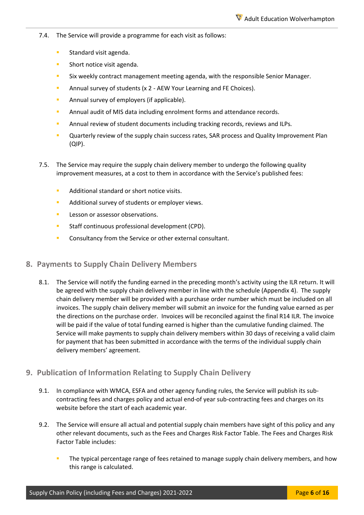- 7.4. The Service will provide a programme for each visit as follows:
	- **Standard visit agenda.**
	- **Short notice visit agenda.**
	- **Six weekly contract management meeting agenda, with the responsible Senior Manager.**
	- **Annual survey of students (x 2 AEW Your Learning and FE Choices).**
	- **Annual survey of employers (if applicable).**
	- **E** Annual audit of MIS data including enrolment forms and attendance records.
	- Annual review of student documents including tracking records, reviews and ILPs.
	- Quarterly review of the supply chain success rates, SAR process and Quality Improvement Plan (QIP).
- 7.5. The Service may require the supply chain delivery member to undergo the following quality improvement measures, at a cost to them in accordance with the Service's published fees:
	- Additional standard or short notice visits.
	- **Additional survey of students or employer views.**
	- **Lesson or assessor observations.**
	- **Staff continuous professional development (CPD).**
	- **Consultancy from the Service or other external consultant.**

#### <span id="page-5-0"></span>**8. Payments to Supply Chain Delivery Members**

8.1. The Service will notify the funding earned in the preceding month's activity using the ILR return. It will be agreed with the supply chain delivery member in line with the schedule (Appendix 4). The supply chain delivery member will be provided with a purchase order number which must be included on all invoices. The supply chain delivery member will submit an invoice for the funding value earned as per the directions on the purchase order. Invoices will be reconciled against the final R14 ILR. The invoice will be paid if the value of total funding earned is higher than the cumulative funding claimed. The Service will make payments to supply chain delivery members within 30 days of receiving a valid claim for payment that has been submitted in accordance with the terms of the individual supply chain delivery members' agreement.

#### <span id="page-5-1"></span>**9. Publication of Information Relating to Supply Chain Delivery**

- 9.1. In compliance with WMCA, ESFA and other agency funding rules, the Service will publish its subcontracting fees and charges policy and actual end-of year sub-contracting fees and charges on its website before the start of each academic year.
- 9.2. The Service will ensure all actual and potential supply chain members have sight of this policy and any other relevant documents, such as the Fees and Charges Risk Factor Table. The Fees and Charges Risk Factor Table includes:
	- The typical percentage range of fees retained to manage supply chain delivery members, and how this range is calculated.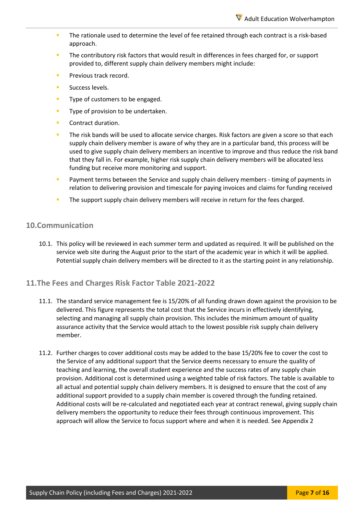- The rationale used to determine the level of fee retained through each contract is a risk-based approach.
- The contributory risk factors that would result in differences in fees charged for, or support provided to, different supply chain delivery members might include:
- Previous track record.
- Success levels.
- **Type of customers to be engaged.**
- Type of provision to be undertaken.
- Contract duration.
- The risk bands will be used to allocate service charges. Risk factors are given a score so that each supply chain delivery member is aware of why they are in a particular band, this process will be used to give supply chain delivery members an incentive to improve and thus reduce the risk band that they fall in. For example, higher risk supply chain delivery members will be allocated less funding but receive more monitoring and support.
- Payment terms between the Service and supply chain delivery members timing of payments in relation to delivering provision and timescale for paying invoices and claims for funding received
- The support supply chain delivery members will receive in return for the fees charged.

#### <span id="page-6-0"></span>**10.Communication**

10.1. This policy will be reviewed in each summer term and updated as required. It will be published on the service web site during the August prior to the start of the academic year in which it will be applied. Potential supply chain delivery members will be directed to it as the starting point in any relationship.

#### <span id="page-6-1"></span>**11.The Fees and Charges Risk Factor Table 2021-2022**

- 11.1. The standard service management fee is 15/20% of all funding drawn down against the provision to be delivered. This figure represents the total cost that the Service incurs in effectively identifying, selecting and managing all supply chain provision. This includes the minimum amount of quality assurance activity that the Service would attach to the lowest possible risk supply chain delivery member.
- 11.2. Further charges to cover additional costs may be added to the base 15/20% fee to cover the cost to the Service of any additional support that the Service deems necessary to ensure the quality of teaching and learning, the overall student experience and the success rates of any supply chain provision. Additional cost is determined using a weighted table of risk factors. The table is available to all actual and potential supply chain delivery members. It is designed to ensure that the cost of any additional support provided to a supply chain member is covered through the funding retained. Additional costs will be re-calculated and negotiated each year at contract renewal, giving supply chain delivery members the opportunity to reduce their fees through continuous improvement. This approach will allow the Service to focus support where and when it is needed. See Appendix 2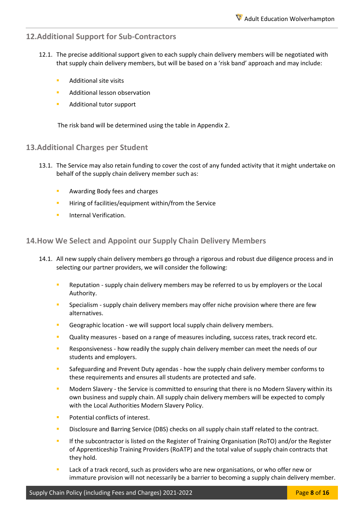### <span id="page-7-0"></span>**12.Additional Support for Sub-Contractors**

- 12.1. The precise additional support given to each supply chain delivery members will be negotiated with that supply chain delivery members, but will be based on a 'risk band' approach and may include:
	- Additional site visits
	- Additional lesson observation
	- **Additional tutor support**

The risk band will be determined using the table in Appendix 2.

#### <span id="page-7-1"></span>**13.Additional Charges per Student**

- 13.1. The Service may also retain funding to cover the cost of any funded activity that it might undertake on behalf of the supply chain delivery member such as:
	- Awarding Body fees and charges
	- Hiring of facilities/equipment within/from the Service
	- Internal Verification.

#### <span id="page-7-2"></span>**14.How We Select and Appoint our Supply Chain Delivery Members**

- 14.1. All new supply chain delivery members go through a rigorous and robust due diligence process and in selecting our partner providers, we will consider the following:
	- Reputation supply chain delivery members may be referred to us by employers or the Local Authority.
	- Specialism supply chain delivery members may offer niche provision where there are few alternatives.
	- Geographic location we will support local supply chain delivery members.
	- Quality measures based on a range of measures including, success rates, track record etc.
	- Responsiveness how readily the supply chain delivery member can meet the needs of our students and employers.
	- Safeguarding and Prevent Duty agendas how the supply chain delivery member conforms to these requirements and ensures all students are protected and safe.
	- Modern Slavery the Service is committed to ensuring that there is no Modern Slavery within its own business and supply chain. All supply chain delivery members will be expected to comply with the Local Authorities Modern Slavery Policy.
	- Potential conflicts of interest.
	- Disclosure and Barring Service (DBS) checks on all supply chain staff related to the contract.
	- If the subcontractor is listed on the Register of Training Organisation (RoTO) and/or the Register of Apprenticeship Training Providers (RoATP) and the total value of supply chain contracts that they hold.
	- Lack of a track record, such as providers who are new organisations, or who offer new or immature provision will not necessarily be a barrier to becoming a supply chain delivery member.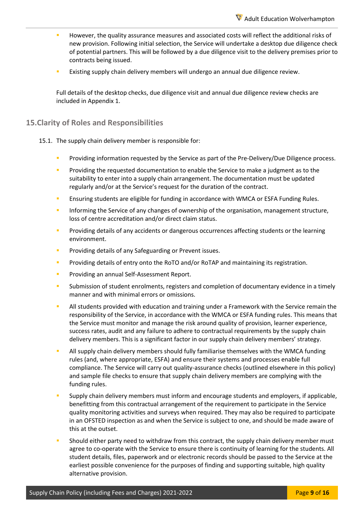- However, the quality assurance measures and associated costs will reflect the additional risks of new provision. Following initial selection, the Service will undertake a desktop due diligence check of potential partners. This will be followed by a due diligence visit to the delivery premises prior to contracts being issued.
- Existing supply chain delivery members will undergo an annual due diligence review.

Full details of the desktop checks, due diligence visit and annual due diligence review checks are included in Appendix 1.

#### <span id="page-8-0"></span>**15.Clarity of Roles and Responsibilities**

- 15.1. The supply chain delivery member is responsible for:
	- Providing information requested by the Service as part of the Pre-Delivery/Due Diligence process.
	- Providing the requested documentation to enable the Service to make a judgment as to the suitability to enter into a supply chain arrangement. The documentation must be updated regularly and/or at the Service's request for the duration of the contract.
	- **E** Ensuring students are eligible for funding in accordance with WMCA or ESFA Funding Rules.
	- Informing the Service of any changes of ownership of the organisation, management structure, loss of centre accreditation and/or direct claim status.
	- Providing details of any accidents or dangerous occurrences affecting students or the learning environment.
	- Providing details of any Safeguarding or Prevent issues.
	- **Providing details of entry onto the RoTO and/or RoTAP and maintaining its registration.**
	- Providing an annual Self-Assessment Report.
	- Submission of student enrolments, registers and completion of documentary evidence in a timely manner and with minimal errors or omissions.
	- All students provided with education and training under a Framework with the Service remain the responsibility of the Service, in accordance with the WMCA or ESFA funding rules. This means that the Service must monitor and manage the risk around quality of provision, learner experience, success rates, audit and any failure to adhere to contractual requirements by the supply chain delivery members. This is a significant factor in our supply chain delivery members' strategy.
	- All supply chain delivery members should fully familiarise themselves with the WMCA funding rules (and, where appropriate, ESFA) and ensure their systems and processes enable full compliance. The Service will carry out quality-assurance checks (outlined elsewhere in this policy) and sample file checks to ensure that supply chain delivery members are complying with the funding rules.
	- Supply chain delivery members must inform and encourage students and employers, if applicable, benefitting from this contractual arrangement of the requirement to participate in the Service quality monitoring activities and surveys when required. They may also be required to participate in an OFSTED inspection as and when the Service is subject to one, and should be made aware of this at the outset.
	- Should either party need to withdraw from this contract, the supply chain delivery member must agree to co-operate with the Service to ensure there is continuity of learning for the students. All student details, files, paperwork and or electronic records should be passed to the Service at the earliest possible convenience for the purposes of finding and supporting suitable, high quality alternative provision.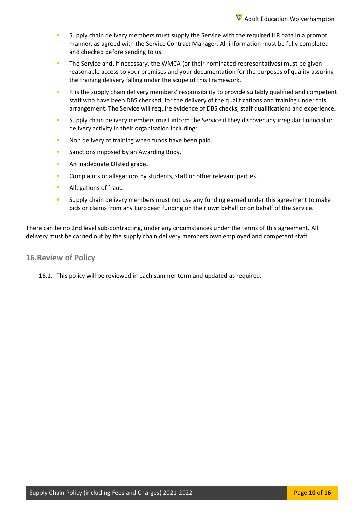- Supply chain delivery members must supply the Service with the required ILR data in a prompt manner, as agreed with the Service Contract Manager. All information must be fully completed and checked before sending to us.
- The Service and, if necessary, the WMCA (or their nominated representatives) must be given reasonable access to your premises and your documentation for the purposes of quality assuring the training delivery falling under the scope of this Framework.
- It is the supply chain delivery members' responsibility to provide suitably qualified and competent staff who have been DBS checked, for the delivery of the qualifications and training under this arrangement. The Service will require evidence of DBS checks, staff qualifications and experience.
- Supply chain delivery members must inform the Service if they discover any irregular financial or delivery activity in their organisation including:
- Non delivery of training when funds have been paid.
- **Sanctions imposed by an Awarding Body.**
- An inadequate Ofsted grade.
- Complaints or allegations by students, staff or other relevant parties.
- Allegations of fraud.
- Supply chain delivery members must not use any funding earned under this agreement to make bids or claims from any European funding on their own behalf or on behalf of the Service.

There can be no 2nd level sub-contracting, under any circumstances under the terms of this agreement. All delivery must be carried out by the supply chain delivery members own employed and competent staff.

#### <span id="page-9-0"></span>**16.Review of Policy**

16.1. This policy will be reviewed in each summer term and updated as required.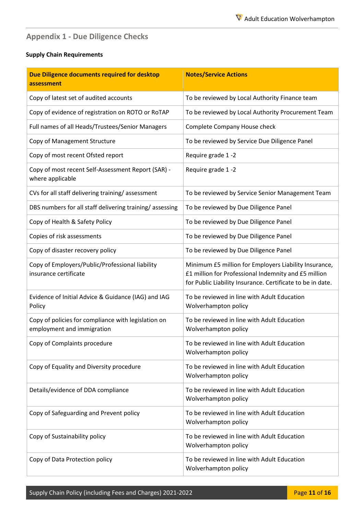# <span id="page-10-0"></span>**Appendix 1 - Due Diligence Checks**

#### **Supply Chain Requirements**

| Due Diligence documents required for desktop<br>assessment                        | <b>Notes/Service Actions</b>                                                                                                                                                |
|-----------------------------------------------------------------------------------|-----------------------------------------------------------------------------------------------------------------------------------------------------------------------------|
| Copy of latest set of audited accounts                                            | To be reviewed by Local Authority Finance team                                                                                                                              |
| Copy of evidence of registration on ROTO or RoTAP                                 | To be reviewed by Local Authority Procurement Team                                                                                                                          |
| Full names of all Heads/Trustees/Senior Managers                                  | Complete Company House check                                                                                                                                                |
| Copy of Management Structure                                                      | To be reviewed by Service Due Diligence Panel                                                                                                                               |
| Copy of most recent Ofsted report                                                 | Require grade 1-2                                                                                                                                                           |
| Copy of most recent Self-Assessment Report (SAR) -<br>where applicable            | Require grade 1-2                                                                                                                                                           |
| CVs for all staff delivering training/assessment                                  | To be reviewed by Service Senior Management Team                                                                                                                            |
| DBS numbers for all staff delivering training/assessing                           | To be reviewed by Due Diligence Panel                                                                                                                                       |
| Copy of Health & Safety Policy                                                    | To be reviewed by Due Diligence Panel                                                                                                                                       |
| Copies of risk assessments                                                        | To be reviewed by Due Diligence Panel                                                                                                                                       |
| Copy of disaster recovery policy                                                  | To be reviewed by Due Diligence Panel                                                                                                                                       |
| Copy of Employers/Public/Professional liability<br>insurance certificate          | Minimum £5 million for Employers Liability Insurance,<br>£1 million for Professional Indemnity and £5 million<br>for Public Liability Insurance. Certificate to be in date. |
| Evidence of Initial Advice & Guidance (IAG) and IAG<br>Policy                     | To be reviewed in line with Adult Education<br>Wolverhampton policy                                                                                                         |
| Copy of policies for compliance with legislation on<br>employment and immigration | To be reviewed in line with Adult Education<br>Wolverhampton policy                                                                                                         |
| Copy of Complaints procedure                                                      | To be reviewed in line with Adult Education<br>Wolverhampton policy                                                                                                         |
| Copy of Equality and Diversity procedure                                          | To be reviewed in line with Adult Education<br>Wolverhampton policy                                                                                                         |
| Details/evidence of DDA compliance                                                | To be reviewed in line with Adult Education<br>Wolverhampton policy                                                                                                         |
| Copy of Safeguarding and Prevent policy                                           | To be reviewed in line with Adult Education<br>Wolverhampton policy                                                                                                         |
| Copy of Sustainability policy                                                     | To be reviewed in line with Adult Education<br>Wolverhampton policy                                                                                                         |
| Copy of Data Protection policy                                                    | To be reviewed in line with Adult Education<br>Wolverhampton policy                                                                                                         |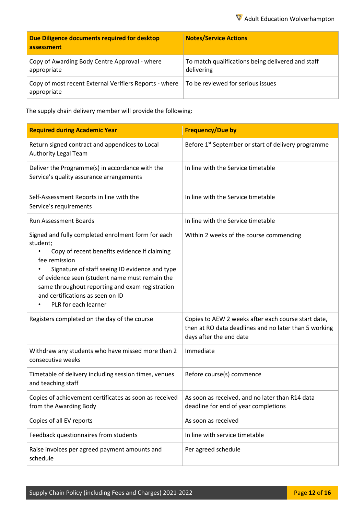| Due Diligence documents required for desktop<br>assessment            | <b>Notes/Service Actions</b>                                    |
|-----------------------------------------------------------------------|-----------------------------------------------------------------|
| Copy of Awarding Body Centre Approval - where<br>appropriate          | To match qualifications being delivered and staff<br>delivering |
| Copy of most recent External Verifiers Reports - where<br>appropriate | To be reviewed for serious issues                               |

The supply chain delivery member will provide the following:

| <b>Required during Academic Year</b>                                                                                                                                                                                                                                                                                                               | <b>Frequency/Due by</b>                                                                                                                 |
|----------------------------------------------------------------------------------------------------------------------------------------------------------------------------------------------------------------------------------------------------------------------------------------------------------------------------------------------------|-----------------------------------------------------------------------------------------------------------------------------------------|
| Return signed contract and appendices to Local<br><b>Authority Legal Team</b>                                                                                                                                                                                                                                                                      | Before 1 <sup>st</sup> September or start of delivery programme                                                                         |
| Deliver the Programme(s) in accordance with the<br>Service's quality assurance arrangements                                                                                                                                                                                                                                                        | In line with the Service timetable                                                                                                      |
| Self-Assessment Reports in line with the<br>Service's requirements                                                                                                                                                                                                                                                                                 | In line with the Service timetable                                                                                                      |
| <b>Run Assessment Boards</b>                                                                                                                                                                                                                                                                                                                       | In line with the Service timetable                                                                                                      |
| Signed and fully completed enrolment form for each<br>student;<br>Copy of recent benefits evidence if claiming<br>fee remission<br>Signature of staff seeing ID evidence and type<br>of evidence seen (student name must remain the<br>same throughout reporting and exam registration<br>and certifications as seen on ID<br>PLR for each learner | Within 2 weeks of the course commencing                                                                                                 |
| Registers completed on the day of the course                                                                                                                                                                                                                                                                                                       | Copies to AEW 2 weeks after each course start date,<br>then at RO data deadlines and no later than 5 working<br>days after the end date |
| Withdraw any students who have missed more than 2<br>consecutive weeks                                                                                                                                                                                                                                                                             | Immediate                                                                                                                               |
| Timetable of delivery including session times, venues<br>and teaching staff                                                                                                                                                                                                                                                                        | Before course(s) commence                                                                                                               |
| Copies of achievement certificates as soon as received<br>from the Awarding Body                                                                                                                                                                                                                                                                   | As soon as received, and no later than R14 data<br>deadline for end of year completions                                                 |
| Copies of all EV reports                                                                                                                                                                                                                                                                                                                           | As soon as received                                                                                                                     |
| Feedback questionnaires from students                                                                                                                                                                                                                                                                                                              | In line with service timetable                                                                                                          |
| Raise invoices per agreed payment amounts and<br>schedule                                                                                                                                                                                                                                                                                          | Per agreed schedule                                                                                                                     |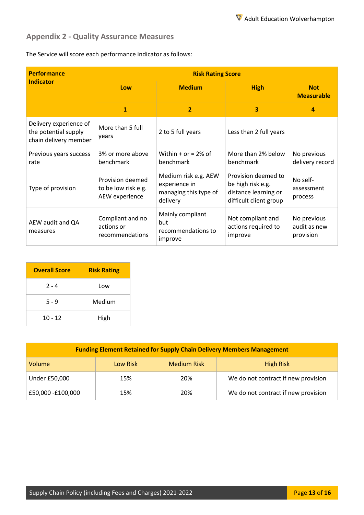# <span id="page-12-0"></span>**Appendix 2 - Quality Assurance Measures**

The Service will score each performance indicator as follows:

| <b>Performance</b>                                                      | <b>Risk Rating Score</b>                                  |                                                                            |                                                                                            |                                          |  |
|-------------------------------------------------------------------------|-----------------------------------------------------------|----------------------------------------------------------------------------|--------------------------------------------------------------------------------------------|------------------------------------------|--|
| <b>Indicator</b>                                                        | Low                                                       | <b>Medium</b>                                                              | <b>High</b>                                                                                | <b>Not</b><br><b>Measurable</b>          |  |
|                                                                         | $\mathbf{1}$                                              | $\overline{2}$                                                             | 3                                                                                          | 4                                        |  |
| Delivery experience of<br>the potential supply<br>chain delivery member | More than 5 full<br>years                                 | 2 to 5 full years                                                          | Less than 2 full years                                                                     |                                          |  |
| Previous years success<br>rate                                          | 3% or more above<br>benchmark                             | Within $+$ or = 2% of<br>benchmark                                         | More than 2% below<br>benchmark                                                            | No previous<br>delivery record           |  |
| Type of provision                                                       | Provision deemed<br>to be low risk e.g.<br>AEW experience | Medium risk e.g. AEW<br>experience in<br>managing this type of<br>delivery | Provision deemed to<br>be high risk e.g.<br>distance learning or<br>difficult client group | No self-<br>assessment<br>process        |  |
| AEW audit and QA<br>measures                                            | Compliant and no<br>actions or<br>recommendations         | Mainly compliant<br>but<br>recommendations to<br>improve                   | Not compliant and<br>actions required to<br>improve                                        | No previous<br>audit as new<br>provision |  |

| <b>Overall Score</b> | <b>Risk Rating</b> |
|----------------------|--------------------|
| $2 - 4$              | Low                |
| $5 - 9$              | Medium             |
| $10 - 12$            | High               |

| <b>Funding Element Retained for Supply Chain Delivery Members Management</b> |          |                    |                                     |
|------------------------------------------------------------------------------|----------|--------------------|-------------------------------------|
| Volume                                                                       | Low Risk | <b>Medium Risk</b> | <b>High Risk</b>                    |
| <b>Under £50,000</b>                                                         | 15%      | 20%                | We do not contract if new provision |
| £50,000 -£100,000                                                            | 15%      | 20%                | We do not contract if new provision |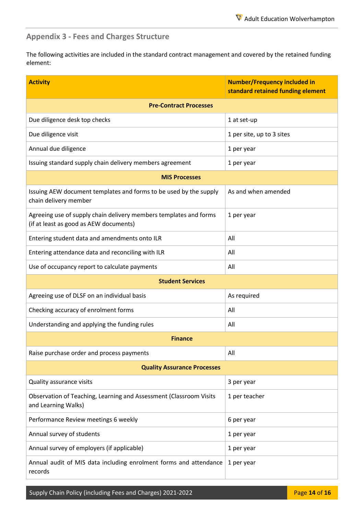## <span id="page-13-0"></span>**Appendix 3 - Fees and Charges Structure**

The following activities are included in the standard contract management and covered by the retained funding element:

| <b>Activity</b>                                                                                             | <b>Number/Frequency included in</b><br>standard retained funding element |  |  |
|-------------------------------------------------------------------------------------------------------------|--------------------------------------------------------------------------|--|--|
| <b>Pre-Contract Processes</b>                                                                               |                                                                          |  |  |
| Due diligence desk top checks                                                                               | 1 at set-up                                                              |  |  |
| Due diligence visit                                                                                         | 1 per site, up to 3 sites                                                |  |  |
| Annual due diligence                                                                                        | 1 per year                                                               |  |  |
| Issuing standard supply chain delivery members agreement                                                    | 1 per year                                                               |  |  |
| <b>MIS Processes</b>                                                                                        |                                                                          |  |  |
| Issuing AEW document templates and forms to be used by the supply<br>chain delivery member                  | As and when amended                                                      |  |  |
| Agreeing use of supply chain delivery members templates and forms<br>(if at least as good as AEW documents) | 1 per year                                                               |  |  |
| Entering student data and amendments onto ILR                                                               | All                                                                      |  |  |
| Entering attendance data and reconciling with ILR                                                           | All                                                                      |  |  |
| Use of occupancy report to calculate payments                                                               | All                                                                      |  |  |
| <b>Student Services</b>                                                                                     |                                                                          |  |  |
| Agreeing use of DLSF on an individual basis                                                                 | As required                                                              |  |  |
| Checking accuracy of enrolment forms                                                                        | All                                                                      |  |  |
| Understanding and applying the funding rules                                                                | All                                                                      |  |  |
| <b>Finance</b>                                                                                              |                                                                          |  |  |
| Raise purchase order and process payments                                                                   | All                                                                      |  |  |
| <b>Quality Assurance Processes</b>                                                                          |                                                                          |  |  |
| Quality assurance visits                                                                                    | 3 per year                                                               |  |  |
| Observation of Teaching, Learning and Assessment (Classroom Visits<br>and Learning Walks)                   | 1 per teacher                                                            |  |  |
| Performance Review meetings 6 weekly                                                                        | 6 per year                                                               |  |  |
| Annual survey of students                                                                                   | 1 per year                                                               |  |  |
| Annual survey of employers (if applicable)                                                                  | 1 per year                                                               |  |  |
| Annual audit of MIS data including enrolment forms and attendance<br>records                                | 1 per year                                                               |  |  |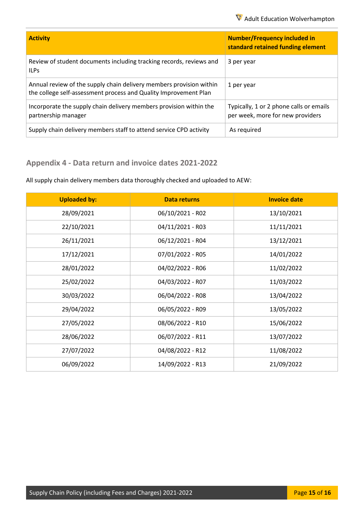| <b>Activity</b>                                                                                                                         | <b>Number/Frequency included in</b><br>standard retained funding element    |
|-----------------------------------------------------------------------------------------------------------------------------------------|-----------------------------------------------------------------------------|
| Review of student documents including tracking records, reviews and<br><b>ILPs</b>                                                      | 3 per year                                                                  |
| Annual review of the supply chain delivery members provision within<br>the college self-assessment process and Quality Improvement Plan | 1 per year                                                                  |
| Incorporate the supply chain delivery members provision within the<br>partnership manager                                               | Typically, 1 or 2 phone calls or emails<br>per week, more for new providers |
| Supply chain delivery members staff to attend service CPD activity                                                                      | As required                                                                 |

# <span id="page-14-0"></span>**Appendix 4 - Data return and invoice dates 2021-2022**

All supply chain delivery members data thoroughly checked and uploaded to AEW:

| <b>Uploaded by:</b> | <b>Data returns</b> | <b>Invoice date</b> |
|---------------------|---------------------|---------------------|
| 28/09/2021          | 06/10/2021 - R02    | 13/10/2021          |
| 22/10/2021          | 04/11/2021 - R03    | 11/11/2021          |
| 26/11/2021          | 06/12/2021 - R04    | 13/12/2021          |
| 17/12/2021          | 07/01/2022 - R05    | 14/01/2022          |
| 28/01/2022          | 04/02/2022 - R06    | 11/02/2022          |
| 25/02/2022          | 04/03/2022 - R07    | 11/03/2022          |
| 30/03/2022          | 06/04/2022 - R08    | 13/04/2022          |
| 29/04/2022          | 06/05/2022 - R09    | 13/05/2022          |
| 27/05/2022          | 08/06/2022 - R10    | 15/06/2022          |
| 28/06/2022          | 06/07/2022 - R11    | 13/07/2022          |
| 27/07/2022          | 04/08/2022 - R12    | 11/08/2022          |
| 06/09/2022          | 14/09/2022 - R13    | 21/09/2022          |